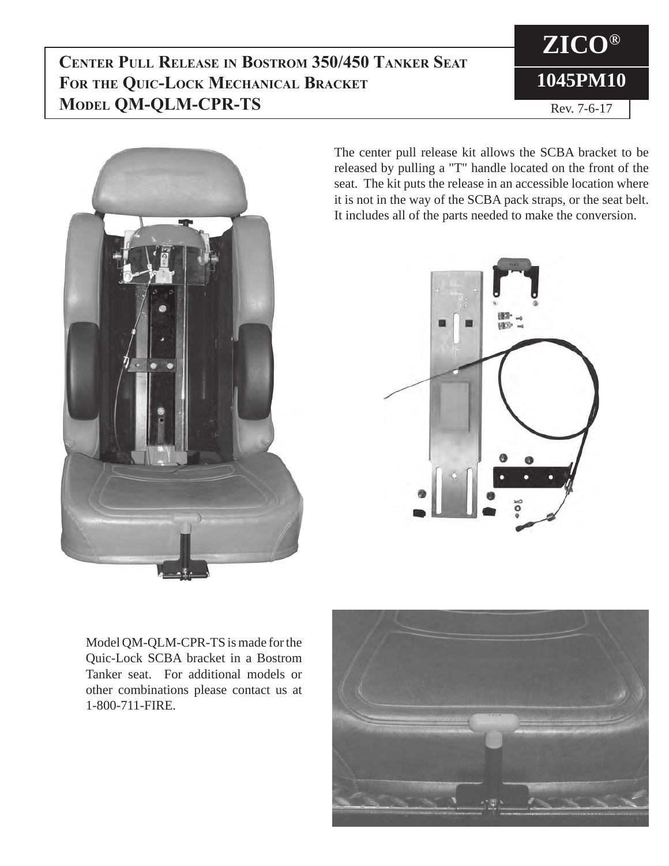#### **Center Pull Release in Bostrom 350/450 Tanker Seat For the Quic-Lock Mechanical Bracket Model QM-QLM-CPR-TS**





The center pull release kit allows the SCBA bracket to be released by pulling a "T" handle located on the front of the seat. The kit puts the release in an accessible location where it is not in the way of the SCBA pack straps, or the seat belt. It includes all of the parts needed to make the conversion.



Model QM-QLM-CPR-TS is made for the Quic-Lock SCBA bracket in a Bostrom Tanker seat. For additional models or other combinations please contact us at 1-800-711-FIRE.

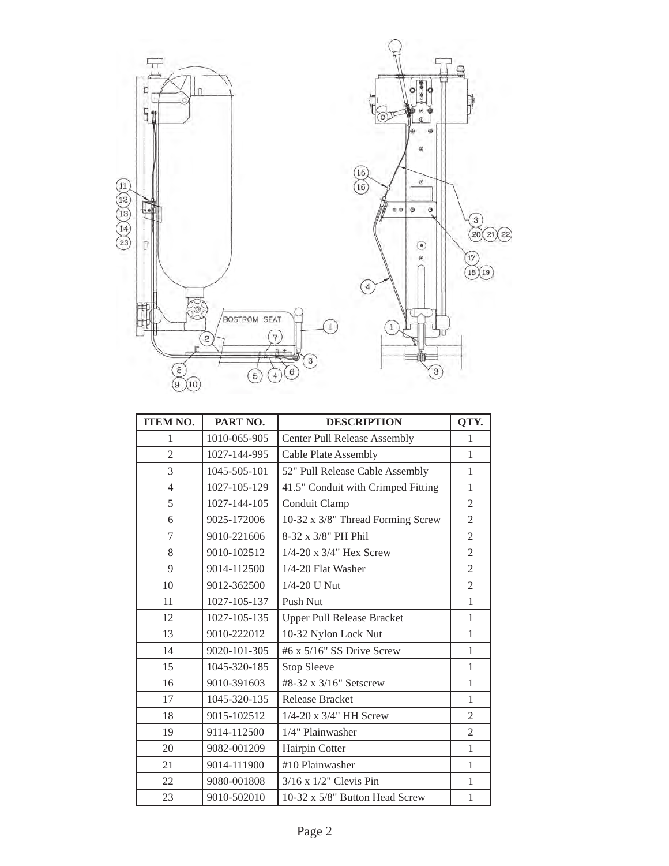

| <b>ITEM NO.</b> | PART NO.     | <b>DESCRIPTION</b>                  | QTY.           |
|-----------------|--------------|-------------------------------------|----------------|
| $\mathbf{1}$    | 1010-065-905 | <b>Center Pull Release Assembly</b> | $\mathbf{1}$   |
| $\overline{2}$  | 1027-144-995 | <b>Cable Plate Assembly</b>         | $\mathbf{1}$   |
| 3               | 1045-505-101 | 52" Pull Release Cable Assembly     | $\mathbf{1}$   |
| $\overline{4}$  | 1027-105-129 | 41.5" Conduit with Crimped Fitting  | $\mathbf{1}$   |
| 5               | 1027-144-105 | Conduit Clamp                       | $\mathfrak{2}$ |
| 6               | 9025-172006  | 10-32 x 3/8" Thread Forming Screw   | $\overline{2}$ |
| 7               | 9010-221606  | 8-32 x 3/8" PH Phil                 | $\overline{2}$ |
| 8               | 9010-102512  | $1/4 - 20$ x $3/4$ " Hex Screw      | $\overline{2}$ |
| 9               | 9014-112500  | 1/4-20 Flat Washer                  | $\overline{2}$ |
| 10              | 9012-362500  | 1/4-20 U Nut                        | $\overline{2}$ |
| 11              | 1027-105-137 | Push Nut                            | $\mathbf{1}$   |
| 12              | 1027-105-135 | <b>Upper Pull Release Bracket</b>   | $\mathbf{1}$   |
| 13              | 9010-222012  | 10-32 Nylon Lock Nut                | $\mathbf{1}$   |
| 14              | 9020-101-305 | #6 x 5/16" SS Drive Screw           | $\mathbf{1}$   |
| 15              | 1045-320-185 | <b>Stop Sleeve</b>                  | $\mathbf{1}$   |
| 16              | 9010-391603  | #8-32 x 3/16" Setscrew              | $\mathbf{1}$   |
| 17              | 1045-320-135 | <b>Release Bracket</b>              | $\mathbf{1}$   |
| 18              | 9015-102512  | $1/4 - 20$ x $3/4$ " HH Screw       | $\mathfrak{2}$ |
| 19              | 9114-112500  | 1/4" Plainwasher                    | $\overline{2}$ |
| 20              | 9082-001209  | Hairpin Cotter                      | $\mathbf{1}$   |
| 21              | 9014-111900  | #10 Plainwasher                     | $\mathbf{1}$   |
| 22              | 9080-001808  | $3/16$ x $1/2$ " Clevis Pin         | $\mathbf{1}$   |
| 23              | 9010-502010  | 10-32 x 5/8" Button Head Screw      | $\mathbf{1}$   |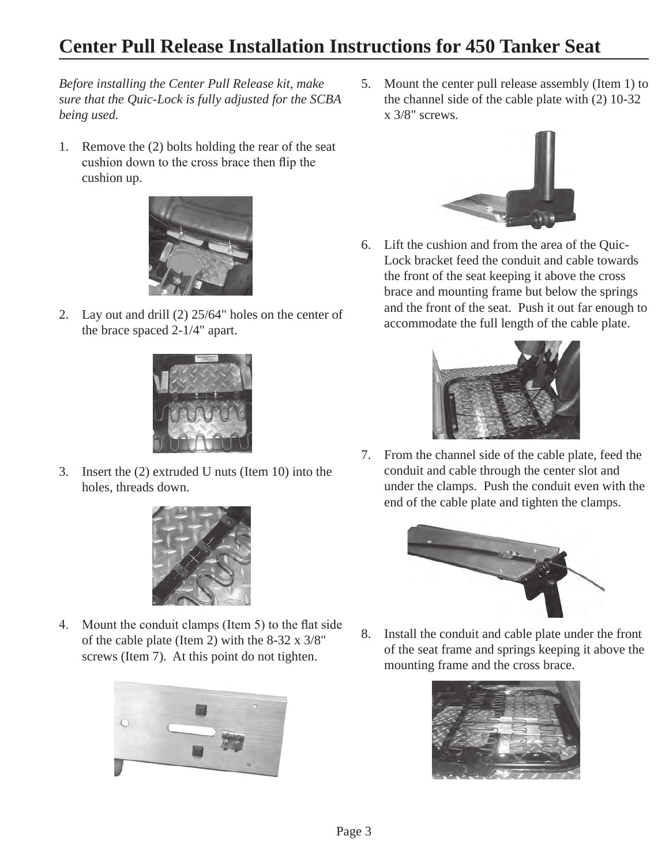### **Center Pull Release Installation Instructions for 450 Tanker Seat**

*Before installing the Center Pull Release kit, make sure that the Quic-Lock is fully adjusted for the SCBA being used.*

1. Remove the (2) bolts holding the rear of the seat cushion down to the cross brace then flip the cushion up.



2. Lay out and drill (2) 25/64" holes on the center of the brace spaced 2-1/4" apart.



3. Insert the (2) extruded U nuts (Item 10) into the holes, threads down.



4. Mount the conduit clamps (Item 5) to the flat side of the cable plate (Item 2) with the 8-32 x 3/8" screws (Item 7). At this point do not tighten.



5. Mount the center pull release assembly (Item 1) to the channel side of the cable plate with (2) 10-32 x 3/8" screws.



6. Lift the cushion and from the area of the Quic-Lock bracket feed the conduit and cable towards the front of the seat keeping it above the cross brace and mounting frame but below the springs and the front of the seat. Push it out far enough to accommodate the full length of the cable plate.



7. From the channel side of the cable plate, feed the conduit and cable through the center slot and under the clamps. Push the conduit even with the end of the cable plate and tighten the clamps.



8. Install the conduit and cable plate under the front of the seat frame and springs keeping it above the mounting frame and the cross brace.

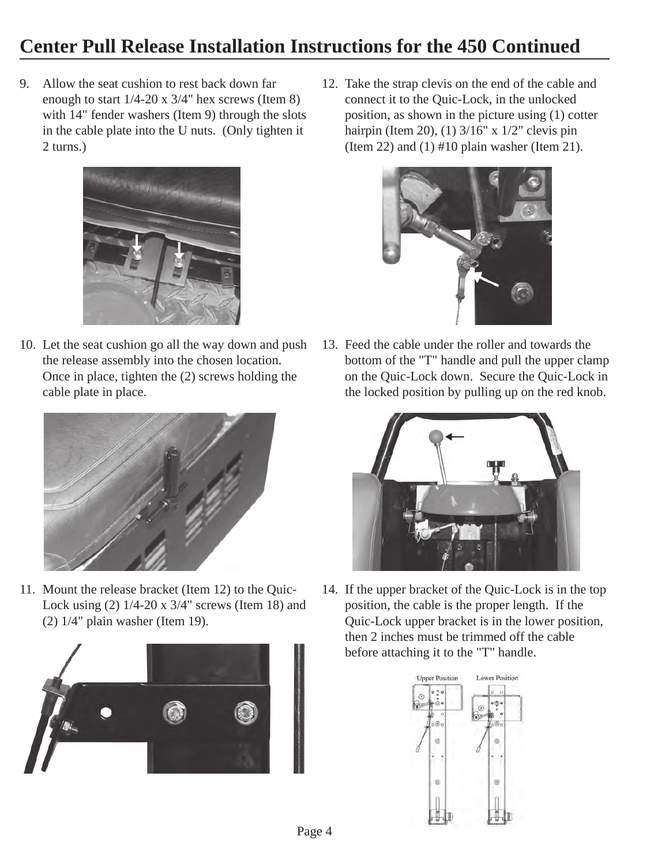## **Center Pull Release Installation Instructions for the 450 Continued**

9. Allow the seat cushion to rest back down far enough to start 1/4-20 x 3/4" hex screws (Item 8) with 14" fender washers (Item 9) through the slots in the cable plate into the U nuts. (Only tighten it 2 turns.)



10. Let the seat cushion go all the way down and push the release assembly into the chosen location. Once in place, tighten the (2) screws holding the cable plate in place.



11. Mount the release bracket (Item 12) to the Quic-Lock using (2) 1/4-20 x 3/4" screws (Item 18) and (2) 1/4" plain washer (Item 19).



12. Take the strap clevis on the end of the cable and connect it to the Quic-Lock, in the unlocked position, as shown in the picture using (1) cotter hairpin (Item 20), (1) 3/16" x 1/2" clevis pin (Item 22) and  $(1)$  #10 plain washer (Item 21).



13. Feed the cable under the roller and towards the bottom of the "T" handle and pull the upper clamp on the Quic-Lock down. Secure the Quic-Lock in the locked position by pulling up on the red knob.



14. If the upper bracket of the Quic-Lock is in the top position, the cable is the proper length. If the Quic-Lock upper bracket is in the lower position, then 2 inches must be trimmed off the cable before attaching it to the "T" handle.

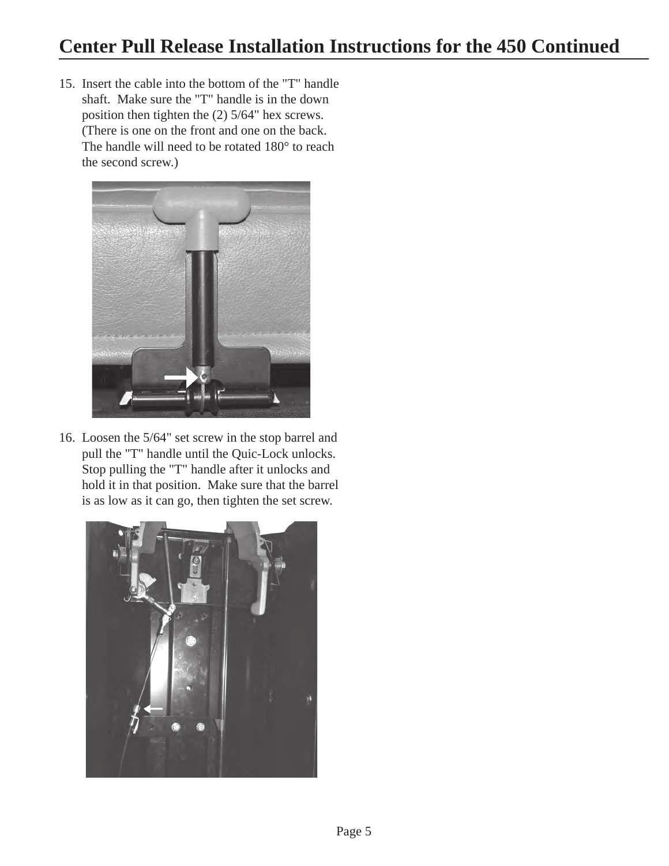15. Insert the cable into the bottom of the "T" handle shaft. Make sure the "T" handle is in the down position then tighten the (2) 5/64" hex screws. (There is one on the front and one on the back. The handle will need to be rotated 180° to reach the second screw.)



16. Loosen the 5/64" set screw in the stop barrel and pull the "T" handle until the Quic-Lock unlocks. Stop pulling the "T" handle after it unlocks and hold it in that position. Make sure that the barrel is as low as it can go, then tighten the set screw.

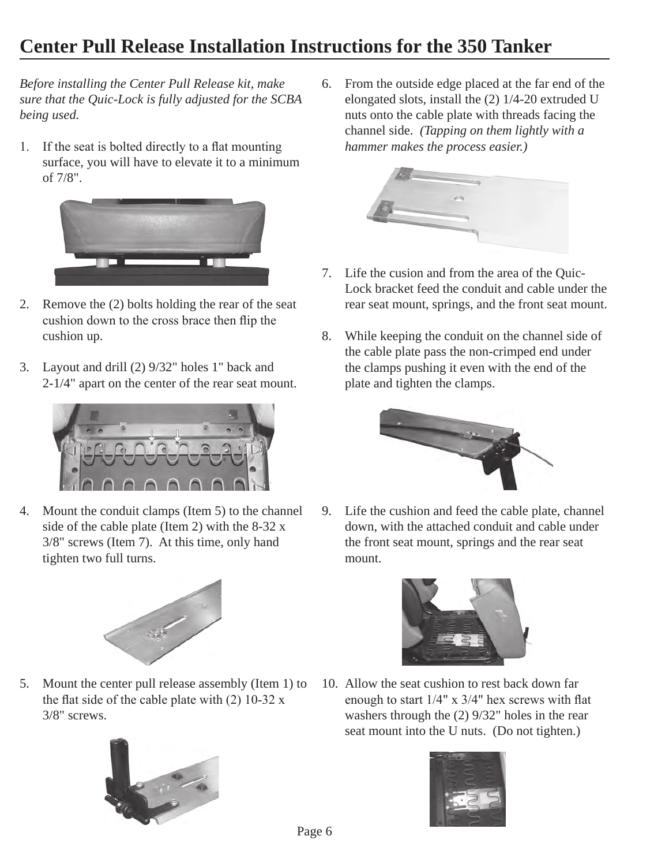# **Center Pull Release Installation Instructions for the 350 Tanker**

*Before installing the Center Pull Release kit, make sure that the Quic-Lock is fully adjusted for the SCBA being used.*

1. If the seat is bolted directly to a flat mounting surface, you will have to elevate it to a minimum of 7/8".



- 2. Remove the (2) bolts holding the rear of the seat cushion down to the cross brace then flip the cushion up.
- 3. Layout and drill (2) 9/32" holes 1" back and 2-1/4" apart on the center of the rear seat mount.



4. Mount the conduit clamps (Item 5) to the channel side of the cable plate (Item 2) with the  $8-32x$ 3/8" screws (Item 7). At this time, only hand tighten two full turns.



5. Mount the center pull release assembly (Item 1) to the flat side of the cable plate with  $(2)$  10-32 x 3/8" screws.



6. From the outside edge placed at the far end of the elongated slots, install the (2) 1/4-20 extruded U nuts onto the cable plate with threads facing the channel side. *(Tapping on them lightly with a hammer makes the process easier.)*



- 7. Life the cusion and from the area of the Quic-Lock bracket feed the conduit and cable under the rear seat mount, springs, and the front seat mount.
- 8. While keeping the conduit on the channel side of the cable plate pass the non-crimped end under the clamps pushing it even with the end of the plate and tighten the clamps.



9. Life the cushion and feed the cable plate, channel down, with the attached conduit and cable under the front seat mount, springs and the rear seat mount.



10. Allow the seat cushion to rest back down far enough to start 1/4" x 3/4" hex screws with flat washers through the (2) 9/32" holes in the rear seat mount into the U nuts. (Do not tighten.)

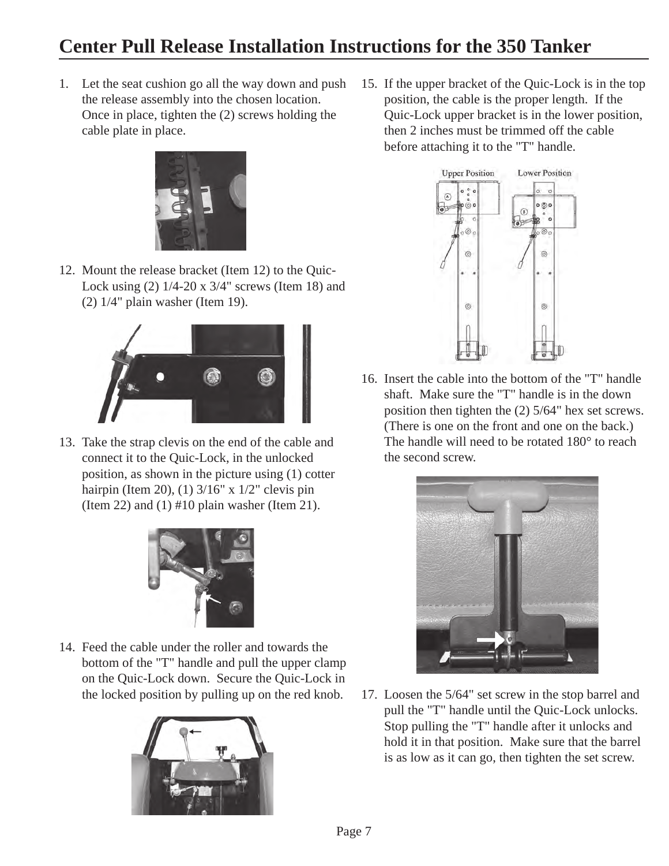# **Center Pull Release Installation Instructions for the 350 Tanker**

1. Let the seat cushion go all the way down and push the release assembly into the chosen location. Once in place, tighten the (2) screws holding the cable plate in place.



12. Mount the release bracket (Item 12) to the Quic-Lock using (2) 1/4-20 x 3/4" screws (Item 18) and (2) 1/4" plain washer (Item 19).



13. Take the strap clevis on the end of the cable and connect it to the Quic-Lock, in the unlocked position, as shown in the picture using (1) cotter hairpin (Item 20), (1) 3/16" x 1/2" clevis pin (Item 22) and  $(1)$  #10 plain washer (Item 21).



14. Feed the cable under the roller and towards the bottom of the "T" handle and pull the upper clamp on the Quic-Lock down. Secure the Quic-Lock in the locked position by pulling up on the red knob.



15. If the upper bracket of the Quic-Lock is in the top position, the cable is the proper length. If the Quic-Lock upper bracket is in the lower position, then 2 inches must be trimmed off the cable before attaching it to the "T" handle.



16. Insert the cable into the bottom of the "T" handle shaft. Make sure the "T" handle is in the down position then tighten the (2) 5/64" hex set screws. (There is one on the front and one on the back.) The handle will need to be rotated 180° to reach the second screw.



17. Loosen the 5/64" set screw in the stop barrel and pull the "T" handle until the Quic-Lock unlocks. Stop pulling the "T" handle after it unlocks and hold it in that position. Make sure that the barrel is as low as it can go, then tighten the set screw.